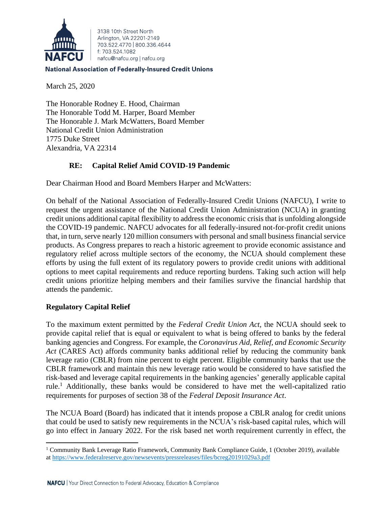

3138 10th Street North Arlington, VA 22201-2149 703 522 4770 800 336 4644 f: 703.524.1082 nafcu@nafcu.org | nafcu.org

### **National Association of Federally-Insured Credit Unions**

March 25, 2020

The Honorable Rodney E. Hood, Chairman The Honorable Todd M. Harper, Board Member The Honorable J. Mark McWatters, Board Member National Credit Union Administration 1775 Duke Street Alexandria, VA 22314

# **RE: Capital Relief Amid COVID-19 Pandemic**

Dear Chairman Hood and Board Members Harper and McWatters:

On behalf of the National Association of Federally-Insured Credit Unions (NAFCU), I write to request the urgent assistance of the National Credit Union Administration (NCUA) in granting credit unions additional capital flexibility to address the economic crisis that is unfolding alongside the COVID-19 pandemic. NAFCU advocates for all federally-insured not-for-profit credit unions that, in turn, serve nearly 120 million consumers with personal and small business financial service products. As Congress prepares to reach a historic agreement to provide economic assistance and regulatory relief across multiple sectors of the economy, the NCUA should complement these efforts by using the full extent of its regulatory powers to provide credit unions with additional options to meet capital requirements and reduce reporting burdens. Taking such action will help credit unions prioritize helping members and their families survive the financial hardship that attends the pandemic.

# **Regulatory Capital Relief**

To the maximum extent permitted by the *Federal Credit Union Act*, the NCUA should seek to provide capital relief that is equal or equivalent to what is being offered to banks by the federal banking agencies and Congress. For example, the *Coronavirus Aid, Relief, and Economic Security Act* (CARES Act) affords community banks additional relief by reducing the community bank leverage ratio (CBLR) from nine percent to eight percent. Eligible community banks that use the CBLR framework and maintain this new leverage ratio would be considered to have satisfied the risk-based and leverage capital requirements in the banking agencies' generally applicable capital rule.<sup>1</sup> Additionally, these banks would be considered to have met the well-capitalized ratio requirements for purposes of section 38 of the *Federal Deposit Insurance Act*.

The NCUA Board (Board) has indicated that it intends propose a CBLR analog for credit unions that could be used to satisfy new requirements in the NCUA's risk-based capital rules, which will go into effect in January 2022. For the risk based net worth requirement currently in effect, the

<sup>1</sup> Community Bank Leverage Ratio Framework, Community Bank Compliance Guide, 1 (October 2019), available a[t https://www.federalreserve.gov/newsevents/pressreleases/files/bcreg20191029a3.pdf](https://www.federalreserve.gov/newsevents/pressreleases/files/bcreg20191029a3.pdf)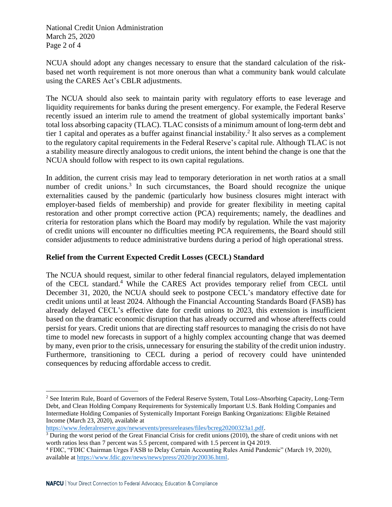National Credit Union Administration March 25, 2020 Page 2 of 4

NCUA should adopt any changes necessary to ensure that the standard calculation of the riskbased net worth requirement is not more onerous than what a community bank would calculate using the CARES Act's CBLR adjustments.

The NCUA should also seek to maintain parity with regulatory efforts to ease leverage and liquidity requirements for banks during the present emergency. For example, the Federal Reserve recently issued an interim rule to amend the treatment of global systemically important banks' total loss absorbing capacity (TLAC). TLAC consists of a minimum amount of long-term debt and tier 1 capital and operates as a buffer against financial instability.<sup>2</sup> It also serves as a complement to the regulatory capital requirements in the Federal Reserve's capital rule. Although TLAC is not a stability measure directly analogous to credit unions, the intent behind the change is one that the NCUA should follow with respect to its own capital regulations.

In addition, the current crisis may lead to temporary deterioration in net worth ratios at a small number of credit unions.<sup>3</sup> In such circumstances, the Board should recognize the unique externalities caused by the pandemic (particularly how business closures might interact with employer-based fields of membership) and provide for greater flexibility in meeting capital restoration and other prompt corrective action (PCA) requirements; namely, the deadlines and criteria for restoration plans which the Board may modify by regulation. While the vast majority of credit unions will encounter no difficulties meeting PCA requirements, the Board should still consider adjustments to reduce administrative burdens during a period of high operational stress.

# **Relief from the Current Expected Credit Losses (CECL) Standard**

The NCUA should request, similar to other federal financial regulators, delayed implementation of the CECL standard.<sup>4</sup> While the CARES Act provides temporary relief from CECL until December 31, 2020, the NCUA should seek to postpone CECL's mandatory effective date for credit unions until at least 2024. Although the Financial Accounting Standards Board (FASB) has already delayed CECL's effective date for credit unions to 2023, this extension is insufficient based on the dramatic economic disruption that has already occurred and whose aftereffects could persist for years. Credit unions that are directing staff resources to managing the crisis do not have time to model new forecasts in support of a highly complex accounting change that was deemed by many, even prior to the crisis, unnecessary for ensuring the stability of the credit union industry. Furthermore, transitioning to CECL during a period of recovery could have unintended consequences by reducing affordable access to credit.

[https://www.federalreserve.gov/newsevents/pressreleases/files/bcreg20200323a1.pdf.](https://www.federalreserve.gov/newsevents/pressreleases/files/bcreg20200323a1.pdf)

<sup>2</sup> See Interim Rule, Board of Governors of the Federal Reserve System, Total Loss-Absorbing Capacity, Long-Term Debt, and Clean Holding Company Requirements for Systemically Important U.S. Bank Holding Companies and Intermediate Holding Companies of Systemically Important Foreign Banking Organizations: Eligible Retained Income (March 23, 2020), available at

<sup>&</sup>lt;sup>3</sup> During the worst period of the Great Financial Crisis for credit unions (2010), the share of credit unions with net worth ratios less than 7 percent was 5.5 percent, compared with 1.5 percent in Q4 2019.

<sup>4</sup> FDIC, "FDIC Chairman Urges FASB to Delay Certain Accounting Rules Amid Pandemic" (March 19, 2020), available at [https://www.fdic.gov/news/news/press/2020/pr20036.html.](https://www.fdic.gov/news/news/press/2020/pr20036.html)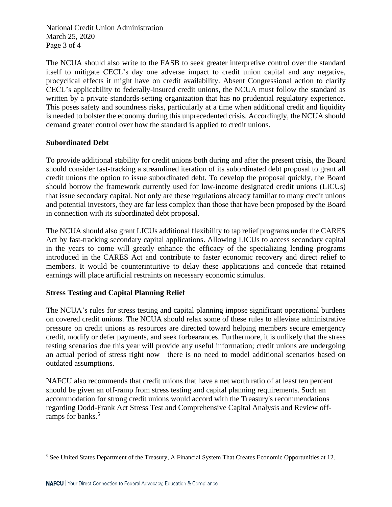National Credit Union Administration March 25, 2020 Page 3 of 4

The NCUA should also write to the FASB to seek greater interpretive control over the standard itself to mitigate CECL's day one adverse impact to credit union capital and any negative, procyclical effects it might have on credit availability. Absent Congressional action to clarify CECL's applicability to federally-insured credit unions, the NCUA must follow the standard as written by a private standards-setting organization that has no prudential regulatory experience. This poses safety and soundness risks, particularly at a time when additional credit and liquidity is needed to bolster the economy during this unprecedented crisis. Accordingly, the NCUA should demand greater control over how the standard is applied to credit unions.

#### **Subordinated Debt**

To provide additional stability for credit unions both during and after the present crisis, the Board should consider fast-tracking a streamlined iteration of its subordinated debt proposal to grant all credit unions the option to issue subordinated debt. To develop the proposal quickly, the Board should borrow the framework currently used for low-income designated credit unions (LICUs) that issue secondary capital. Not only are these regulations already familiar to many credit unions and potential investors, they are far less complex than those that have been proposed by the Board in connection with its subordinated debt proposal.

The NCUA should also grant LICUs additional flexibility to tap relief programs under the CARES Act by fast-tracking secondary capital applications. Allowing LICUs to access secondary capital in the years to come will greatly enhance the efficacy of the specializing lending programs introduced in the CARES Act and contribute to faster economic recovery and direct relief to members. It would be counterintuitive to delay these applications and concede that retained earnings will place artificial restraints on necessary economic stimulus.

# **Stress Testing and Capital Planning Relief**

The NCUA's rules for stress testing and capital planning impose significant operational burdens on covered credit unions. The NCUA should relax some of these rules to alleviate administrative pressure on credit unions as resources are directed toward helping members secure emergency credit, modify or defer payments, and seek forbearances. Furthermore, it is unlikely that the stress testing scenarios due this year will provide any useful information; credit unions are undergoing an actual period of stress right now—there is no need to model additional scenarios based on outdated assumptions.

NAFCU also recommends that credit unions that have a net worth ratio of at least ten percent should be given an off-ramp from stress testing and capital planning requirements. Such an accommodation for strong credit unions would accord with the Treasury's recommendations regarding Dodd-Frank Act Stress Test and Comprehensive Capital Analysis and Review offramps for banks.<sup>5</sup>

<sup>5</sup> See United States Department of the Treasury, A Financial System That Creates Economic Opportunities at 12.